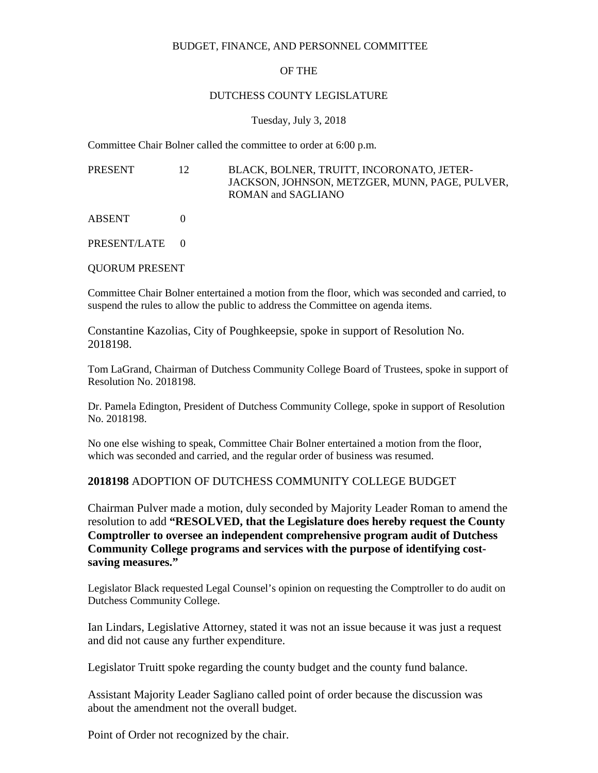#### BUDGET, FINANCE, AND PERSONNEL COMMITTEE

#### OF THE

#### DUTCHESS COUNTY LEGISLATURE

#### Tuesday, July 3, 2018

Committee Chair Bolner called the committee to order at 6:00 p.m.

PRESENT 12 BLACK, BOLNER, TRUITT, INCORONATO, JETER-JACKSON, JOHNSON, METZGER, MUNN, PAGE, PULVER, ROMAN and SAGLIANO

ABSENT 0

PRESENT/LATE 0

QUORUM PRESENT

Committee Chair Bolner entertained a motion from the floor, which was seconded and carried, to suspend the rules to allow the public to address the Committee on agenda items.

Constantine Kazolias, City of Poughkeepsie, spoke in support of Resolution No. 2018198.

Tom LaGrand, Chairman of Dutchess Community College Board of Trustees, spoke in support of Resolution No. 2018198.

Dr. Pamela Edington, President of Dutchess Community College, spoke in support of Resolution No. 2018198.

No one else wishing to speak, Committee Chair Bolner entertained a motion from the floor, which was seconded and carried, and the regular order of business was resumed.

### **2018198** ADOPTION OF DUTCHESS COMMUNITY COLLEGE BUDGET

Chairman Pulver made a motion, duly seconded by Majority Leader Roman to amend the resolution to add **"RESOLVED, that the Legislature does hereby request the County Comptroller to oversee an independent comprehensive program audit of Dutchess Community College programs and services with the purpose of identifying costsaving measures."**

Legislator Black requested Legal Counsel's opinion on requesting the Comptroller to do audit on Dutchess Community College.

Ian Lindars, Legislative Attorney, stated it was not an issue because it was just a request and did not cause any further expenditure.

Legislator Truitt spoke regarding the county budget and the county fund balance.

Assistant Majority Leader Sagliano called point of order because the discussion was about the amendment not the overall budget.

Point of Order not recognized by the chair.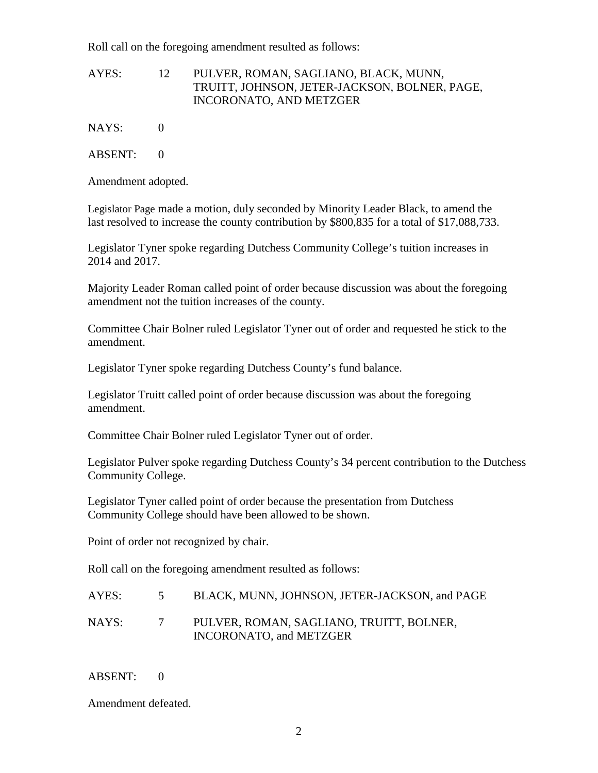Roll call on the foregoing amendment resulted as follows:

### AYES: 12 PULVER, ROMAN, SAGLIANO, BLACK, MUNN, TRUITT, JOHNSON, JETER-JACKSON, BOLNER, PAGE, INCORONATO, AND METZGER

NAYS: 0

ABSENT: 0

Amendment adopted.

Legislator Page made a motion, duly seconded by Minority Leader Black, to amend the last resolved to increase the county contribution by \$800,835 for a total of \$17,088,733.

Legislator Tyner spoke regarding Dutchess Community College's tuition increases in 2014 and 2017.

Majority Leader Roman called point of order because discussion was about the foregoing amendment not the tuition increases of the county.

Committee Chair Bolner ruled Legislator Tyner out of order and requested he stick to the amendment.

Legislator Tyner spoke regarding Dutchess County's fund balance.

Legislator Truitt called point of order because discussion was about the foregoing amendment.

Committee Chair Bolner ruled Legislator Tyner out of order.

Legislator Pulver spoke regarding Dutchess County's 34 percent contribution to the Dutchess Community College.

Legislator Tyner called point of order because the presentation from Dutchess Community College should have been allowed to be shown.

Point of order not recognized by chair.

Roll call on the foregoing amendment resulted as follows:

| AYES: | BLACK, MUNN, JOHNSON, JETER-JACKSON, and PAGE                              |
|-------|----------------------------------------------------------------------------|
| NAYS: | PULVER, ROMAN, SAGLIANO, TRUITT, BOLNER,<br><b>INCORONATO, and METZGER</b> |

# ABSENT: 0

Amendment defeated.